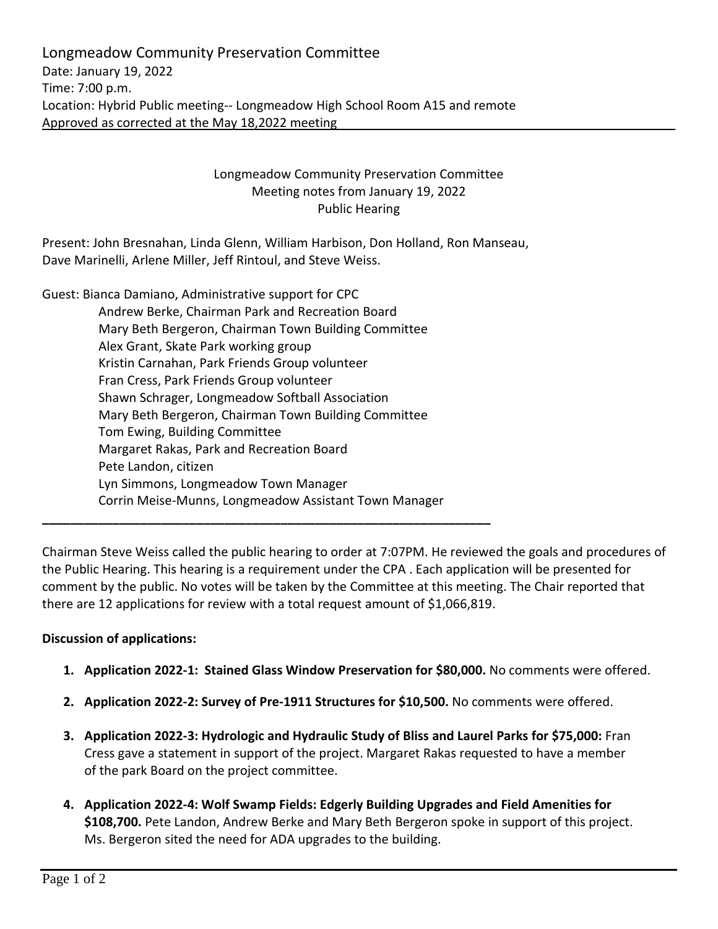Longmeadow Community Preservation Committee Date: January 19, 2022 Time: 7:00 p.m. Location: Hybrid Public meeting-- Longmeadow High School Room A15 and remote Approved as corrected at the May 18,2022 meeting

## Longmeadow Community Preservation Committee Meeting notes from January 19, 2022 Public Hearing

Present: John Bresnahan, Linda Glenn, William Harbison, Don Holland, Ron Manseau, Dave Marinelli, Arlene Miller, Jeff Rintoul, and Steve Weiss.

Guest: Bianca Damiano, Administrative support for CPC Andrew Berke, Chairman Park and Recreation Board Mary Beth Bergeron, Chairman Town Building Committee Alex Grant, Skate Park working group Kristin Carnahan, Park Friends Group volunteer Fran Cress, Park Friends Group volunteer Shawn Schrager, Longmeadow Softball Association Mary Beth Bergeron, Chairman Town Building Committee Tom Ewing, Building Committee Margaret Rakas, Park and Recreation Board Pete Landon, citizen Lyn Simmons, Longmeadow Town Manager Corrin Meise-Munns, Longmeadow Assistant Town Manager **\_\_\_\_\_\_\_\_\_\_\_\_\_\_\_\_\_\_\_\_\_\_\_\_\_\_\_\_\_\_\_\_\_\_\_\_\_\_\_\_\_\_\_\_\_\_\_\_\_\_\_\_\_\_\_\_\_\_\_\_\_\_\_\_**

Chairman Steve Weiss called the public hearing to order at 7:07PM. He reviewed the goals and procedures of the Public Hearing. This hearing is a requirement under the CPA . Each application will be presented for comment by the public. No votes will be taken by the Committee at this meeting. The Chair reported that there are 12 applications for review with a total request amount of \$1,066,819.

## **Discussion of applications:**

- **1. Application 2022-1: Stained Glass Window Preservation for \$80,000.** No comments were offered.
- **2. Application 2022-2: Survey of Pre-1911 Structures for \$10,500.** No comments were offered.
- **3. Application 2022-3: Hydrologic and Hydraulic Study of Bliss and Laurel Parks for \$75,000:** Fran Cress gave a statement in support of the project. Margaret Rakas requested to have a member of the park Board on the project committee.
- **4. Application 2022-4: Wolf Swamp Fields: Edgerly Building Upgrades and Field Amenities for \$108,700.** Pete Landon, Andrew Berke and Mary Beth Bergeron spoke in support of this project. Ms. Bergeron sited the need for ADA upgrades to the building.